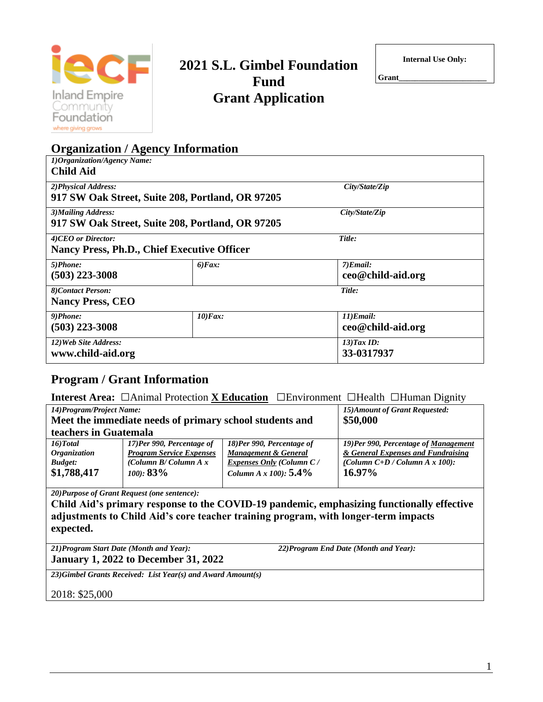

# **2021 S.L. Gimbel Foundation Fund Grant Application**

**Internal Use Only:**

**Grant\_\_\_\_\_\_\_\_\_\_\_\_\_\_\_\_\_\_\_\_\_\_**

| <b>Organization / Agency Information</b>         |                  |                     |
|--------------------------------------------------|------------------|---------------------|
| 1) Organization/Agency Name:                     |                  |                     |
| <b>Child Aid</b>                                 |                  |                     |
| 2) Physical Address:                             |                  | City/State/Zip      |
| 917 SW Oak Street, Suite 208, Portland, OR 97205 |                  |                     |
| 3) Mailing Address:                              |                  | City/State/Zip      |
| 917 SW Oak Street, Suite 208, Portland, OR 97205 |                  |                     |
| 4)CEO or Director:                               |                  | Title:              |
| Nancy Press, Ph.D., Chief Executive Officer      |                  |                     |
| 5)Phone:                                         | $6$ <i>Fax</i> : | $7)$ <i>Email</i> : |
| $(503)$ 223-3008                                 |                  | ceo@child-aid.org   |
| 8)Contact Person:                                |                  | Title:              |
| <b>Nancy Press, CEO</b>                          |                  |                     |
| 9)Phone:                                         | $10$ ) $Fax$ :   | 11)Email:           |
| $(503)$ 223-3008                                 |                  | ceo@child-aid.org   |
| 12) Web Site Address:                            |                  | $13$ ) Tax ID:      |
| www.child-aid.org                                |                  | 33-0317937          |

# **Program / Grant Information**

**Interest Area:** □Animal Protection **<sup>X</sup> Education** □Environment □Health □Human Dignity

| 15) Amount of Grant Requested:<br>14) Program/Project Name: |                                 |                                 |                                      |  |
|-------------------------------------------------------------|---------------------------------|---------------------------------|--------------------------------------|--|
| Meet the immediate needs of primary school students and     |                                 |                                 | \$50,000                             |  |
| teachers in Guatemala                                       |                                 |                                 |                                      |  |
| $16$ ) $Total$                                              | 17)Per 990, Percentage of       | 18)Per 990, Percentage of       | 19)Per 990, Percentage of Management |  |
| <i><b>Organization</b></i>                                  | <b>Program Service Expenses</b> | Management & General            | & General Expenses and Fundraising   |  |
| <b>Budget:</b>                                              | (Column B/Column A $x$ )        | <b>Expenses Only (Column C/</b> | (Column $C+D$ / Column A x 100):     |  |
| \$1,788,417                                                 | $(100): 83\%$                   | Column A x $100$ : 5.4%         | $16.97\%$                            |  |
|                                                             |                                 |                                 |                                      |  |

*20)Purpose of Grant Request (one sentence):*

**Child Aid's primary response to the COVID-19 pandemic, emphasizing functionally effective adjustments to Child Aid's core teacher training program, with longer-term impacts expected.**

*21)Program Start Date (Month and Year): 22)Program End Date (Month and Year):*

**January 1, 2022 to December 31, 2022**

*23)Gimbel Grants Received: List Year(s) and Award Amount(s)*

2018: \$25,000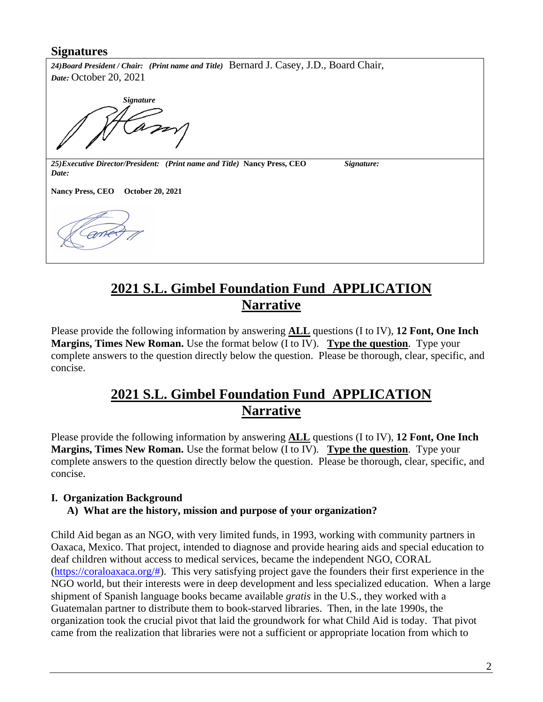# **Signatures**

*24)Board President / Chair: (Print name and Title)* Bernard J. Casey, J.D., Board Chair, *Date:* October 20, 2021

 *Signature*

*25)Executive Director/President: (Print name and Title)* **Nancy Press, CEO** *Signature: Date:*

**Nancy Press, CEO October 20, 2021**

# **2021 S.L. Gimbel Foundation Fund APPLICATION Narrative**

Please provide the following information by answering **ALL** questions (I to IV), **12 Font, One Inch Margins, Times New Roman.** Use the format below (I to IV). **Type the question**. Type your complete answers to the question directly below the question. Please be thorough, clear, specific, and concise.

# **2021 S.L. Gimbel Foundation Fund APPLICATION Narrative**

Please provide the following information by answering **ALL** questions (I to IV), **12 Font, One Inch Margins, Times New Roman.** Use the format below (I to IV). **Type the question**. Type your complete answers to the question directly below the question. Please be thorough, clear, specific, and concise.

# **I. Organization Background A) What are the history, mission and purpose of your organization?**

Child Aid began as an NGO, with very limited funds, in 1993, working with community partners in Oaxaca, Mexico. That project, intended to diagnose and provide hearing aids and special education to deaf children without access to medical services, became the independent NGO, CORAL [\(https://coraloaxaca.org/#\)](https://coraloaxaca.org/). This very satisfying project gave the founders their first experience in the NGO world, but their interests were in deep development and less specialized education. When a large shipment of Spanish language books became available *gratis* in the U.S., they worked with a Guatemalan partner to distribute them to book-starved libraries. Then, in the late 1990s, the organization took the crucial pivot that laid the groundwork for what Child Aid is today. That pivot came from the realization that libraries were not a sufficient or appropriate location from which to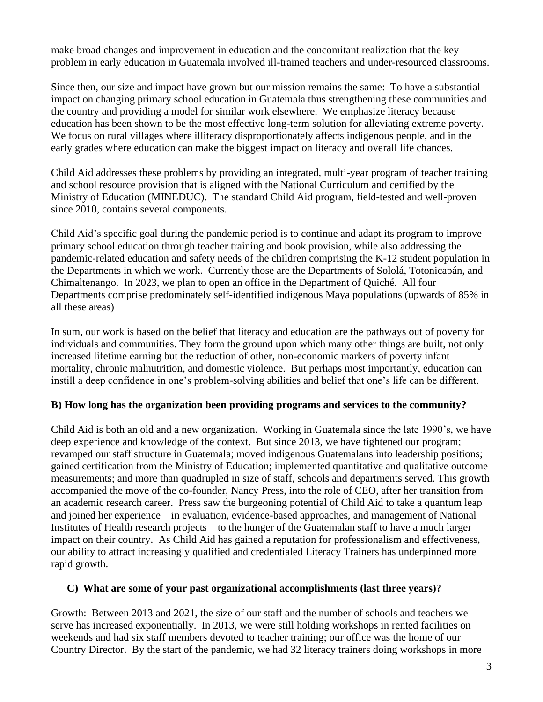make broad changes and improvement in education and the concomitant realization that the key problem in early education in Guatemala involved ill-trained teachers and under-resourced classrooms.

Since then, our size and impact have grown but our mission remains the same: To have a substantial impact on changing primary school education in Guatemala thus strengthening these communities and the country and providing a model for similar work elsewhere. We emphasize literacy because education has been shown to be the most effective long-term solution for alleviating extreme poverty. We focus on rural villages where illiteracy disproportionately affects indigenous people, and in the early grades where education can make the biggest impact on literacy and overall life chances.

Child Aid addresses these problems by providing an integrated, multi-year program of teacher training and school resource provision that is aligned with the National Curriculum and certified by the Ministry of Education (MINEDUC). The standard Child Aid program, field-tested and well-proven since 2010, contains several components.

Child Aid's specific goal during the pandemic period is to continue and adapt its program to improve primary school education through teacher training and book provision, while also addressing the pandemic-related education and safety needs of the children comprising the K-12 student population in the Departments in which we work. Currently those are the Departments of Sololá, Totonicapán, and Chimaltenango. In 2023, we plan to open an office in the Department of Quiché. All four Departments comprise predominately self-identified indigenous Maya populations (upwards of 85% in all these areas)

In sum, our work is based on the belief that literacy and education are the pathways out of poverty for individuals and communities. They form the ground upon which many other things are built, not only increased lifetime earning but the reduction of other, non-economic markers of poverty infant mortality, chronic malnutrition, and domestic violence. But perhaps most importantly, education can instill a deep confidence in one's problem-solving abilities and belief that one's life can be different.

## **B) How long has the organization been providing programs and services to the community?**

Child Aid is both an old and a new organization. Working in Guatemala since the late 1990's, we have deep experience and knowledge of the context. But since 2013, we have tightened our program; revamped our staff structure in Guatemala; moved indigenous Guatemalans into leadership positions; gained certification from the Ministry of Education; implemented quantitative and qualitative outcome measurements; and more than quadrupled in size of staff, schools and departments served. This growth accompanied the move of the co-founder, Nancy Press, into the role of CEO, after her transition from an academic research career. Press saw the burgeoning potential of Child Aid to take a quantum leap and joined her experience – in evaluation, evidence-based approaches, and management of National Institutes of Health research projects – to the hunger of the Guatemalan staff to have a much larger impact on their country. As Child Aid has gained a reputation for professionalism and effectiveness, our ability to attract increasingly qualified and credentialed Literacy Trainers has underpinned more rapid growth.

## **C) What are some of your past organizational accomplishments (last three years)?**

Growth: Between 2013 and 2021, the size of our staff and the number of schools and teachers we serve has increased exponentially. In 2013, we were still holding workshops in rented facilities on weekends and had six staff members devoted to teacher training; our office was the home of our Country Director. By the start of the pandemic, we had 32 literacy trainers doing workshops in more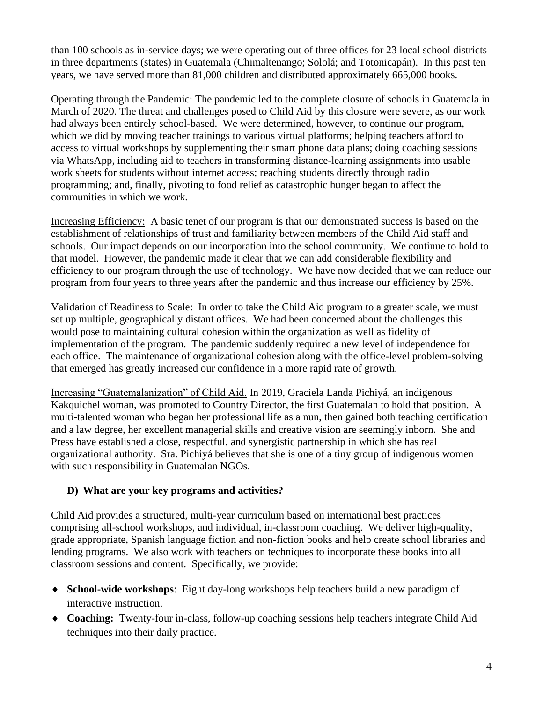than 100 schools as in-service days; we were operating out of three offices for 23 local school districts in three departments (states) in Guatemala (Chimaltenango; Sololá; and Totonicapán). In this past ten years, we have served more than 81,000 children and distributed approximately 665,000 books.

Operating through the Pandemic: The pandemic led to the complete closure of schools in Guatemala in March of 2020. The threat and challenges posed to Child Aid by this closure were severe, as our work had always been entirely school-based. We were determined, however, to continue our program, which we did by moving teacher trainings to various virtual platforms; helping teachers afford to access to virtual workshops by supplementing their smart phone data plans; doing coaching sessions via WhatsApp, including aid to teachers in transforming distance-learning assignments into usable work sheets for students without internet access; reaching students directly through radio programming; and, finally, pivoting to food relief as catastrophic hunger began to affect the communities in which we work.

Increasing Efficiency: A basic tenet of our program is that our demonstrated success is based on the establishment of relationships of trust and familiarity between members of the Child Aid staff and schools. Our impact depends on our incorporation into the school community. We continue to hold to that model. However, the pandemic made it clear that we can add considerable flexibility and efficiency to our program through the use of technology. We have now decided that we can reduce our program from four years to three years after the pandemic and thus increase our efficiency by 25%.

Validation of Readiness to Scale: In order to take the Child Aid program to a greater scale, we must set up multiple, geographically distant offices. We had been concerned about the challenges this would pose to maintaining cultural cohesion within the organization as well as fidelity of implementation of the program. The pandemic suddenly required a new level of independence for each office. The maintenance of organizational cohesion along with the office-level problem-solving that emerged has greatly increased our confidence in a more rapid rate of growth.

Increasing "Guatemalanization" of Child Aid. In 2019, Graciela Landa Pichiyá, an indigenous Kakquichel woman, was promoted to Country Director, the first Guatemalan to hold that position. A multi-talented woman who began her professional life as a nun, then gained both teaching certification and a law degree, her excellent managerial skills and creative vision are seemingly inborn. She and Press have established a close, respectful, and synergistic partnership in which she has real organizational authority. Sra. Pichiyá believes that she is one of a tiny group of indigenous women with such responsibility in Guatemalan NGOs.

# **D) What are your key programs and activities?**

Child Aid provides a structured, multi-year curriculum based on international best practices comprising all-school workshops, and individual, in-classroom coaching. We deliver high-quality, grade appropriate, Spanish language fiction and non-fiction books and help create school libraries and lending programs. We also work with teachers on techniques to incorporate these books into all classroom sessions and content. Specifically, we provide:

- **School-wide workshops**: Eight day-long workshops help teachers build a new paradigm of interactive instruction.
- **Coaching:** Twenty-four in-class, follow-up coaching sessions help teachers integrate Child Aid techniques into their daily practice.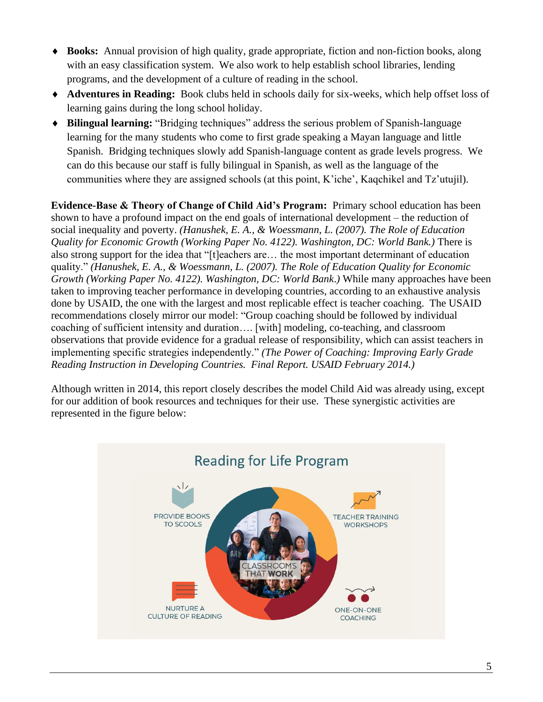- **Books:** Annual provision of high quality, grade appropriate, fiction and non-fiction books, along with an easy classification system. We also work to help establish school libraries, lending programs, and the development of a culture of reading in the school.
- **Adventures in Reading:** Book clubs held in schools daily for six-weeks, which help offset loss of learning gains during the long school holiday.
- **Bilingual learning:** "Bridging techniques" address the serious problem of Spanish-language learning for the many students who come to first grade speaking a Mayan language and little Spanish. Bridging techniques slowly add Spanish-language content as grade levels progress. We can do this because our staff is fully bilingual in Spanish, as well as the language of the communities where they are assigned schools (at this point, K'iche', Kaqchikel and Tz'utujil).

**Evidence-Base & Theory of Change of Child Aid's Program:** Primary school education has been shown to have a profound impact on the end goals of international development – the reduction of social inequality and poverty. *(Hanushek, E. A., & Woessmann, L. (2007). The Role of Education Quality for Economic Growth (Working Paper No. 4122). Washington, DC: World Bank.)* There is also strong support for the idea that "[t]eachers are… the most important determinant of education quality." *(Hanushek, E. A., & Woessmann, L. (2007). The Role of Education Quality for Economic Growth (Working Paper No. 4122). Washington, DC: World Bank*.*)* While many approaches have been taken to improving teacher performance in developing countries, according to an exhaustive analysis done by USAID, the one with the largest and most replicable effect is teacher coaching. The USAID recommendations closely mirror our model: "Group coaching should be followed by individual coaching of sufficient intensity and duration…. [with] modeling, co-teaching, and classroom observations that provide evidence for a gradual release of responsibility, which can assist teachers in implementing specific strategies independently." *(The Power of Coaching: Improving Early Grade Reading Instruction in Developing Countries. Final Report. USAID February 2014.)*

Although written in 2014, this report closely describes the model Child Aid was already using, except for our addition of book resources and techniques for their use. These synergistic activities are represented in the figure below:

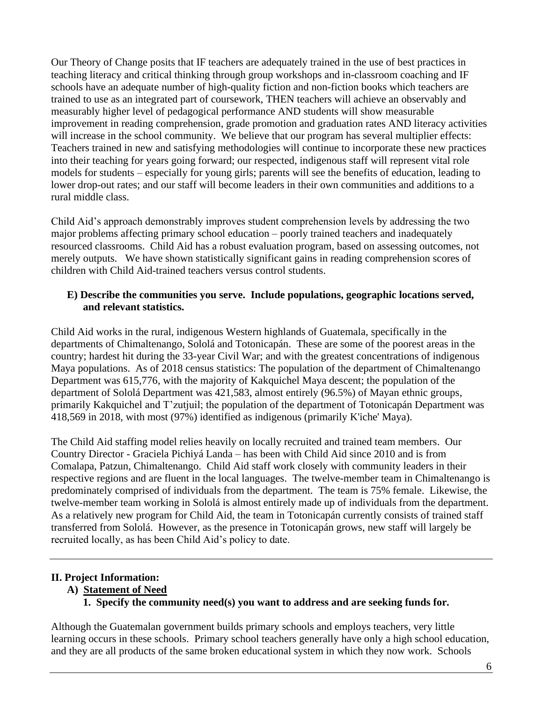Our Theory of Change posits that IF teachers are adequately trained in the use of best practices in teaching literacy and critical thinking through group workshops and in-classroom coaching and IF schools have an adequate number of high-quality fiction and non-fiction books which teachers are trained to use as an integrated part of coursework, THEN teachers will achieve an observably and measurably higher level of pedagogical performance AND students will show measurable improvement in reading comprehension, grade promotion and graduation rates AND literacy activities will increase in the school community. We believe that our program has several multiplier effects: Teachers trained in new and satisfying methodologies will continue to incorporate these new practices into their teaching for years going forward; our respected, indigenous staff will represent vital role models for students – especially for young girls; parents will see the benefits of education, leading to lower drop-out rates; and our staff will become leaders in their own communities and additions to a rural middle class.

Child Aid's approach demonstrably improves student comprehension levels by addressing the two major problems affecting primary school education – poorly trained teachers and inadequately resourced classrooms. Child Aid has a robust evaluation program, based on assessing outcomes, not merely outputs. We have shown statistically significant gains in reading comprehension scores of children with Child Aid-trained teachers versus control students.

# **E) Describe the communities you serve. Include populations, geographic locations served, and relevant statistics.**

Child Aid works in the rural, indigenous Western highlands of Guatemala, specifically in the departments of Chimaltenango, Sololá and Totonicapán. These are some of the poorest areas in the country; hardest hit during the 33-year Civil War; and with the greatest concentrations of indigenous Maya populations. As of 2018 census statistics: The population of the department of Chimaltenango Department was 615,776, with the majority of Kakquichel Maya descent; the population of the department of Sololá Department was 421,583, almost entirely (96.5%) of Mayan ethnic groups, primarily Kakquichel and T'zutjuil; the population of the department of Totonicapán Department was 418,569 in 2018, with most (97%) identified as indigenous (primarily K'iche' Maya).

The Child Aid staffing model relies heavily on locally recruited and trained team members. Our Country Director - Graciela Pichiyá Landa – has been with Child Aid since 2010 and is from Comalapa, Patzun, Chimaltenango. Child Aid staff work closely with community leaders in their respective regions and are fluent in the local languages. The twelve-member team in Chimaltenango is predominately comprised of individuals from the department. The team is 75% female. Likewise, the twelve-member team working in Sololá is almost entirely made up of individuals from the department. As a relatively new program for Child Aid, the team in Totonicapán currently consists of trained staff transferred from Sololá. However, as the presence in Totonicapán grows, new staff will largely be recruited locally, as has been Child Aid's policy to date.

# **II. Project Information:**

- **A) Statement of Need**
	- **1. Specify the community need(s) you want to address and are seeking funds for.**

Although the Guatemalan government builds primary schools and employs teachers, very little learning occurs in these schools. Primary school teachers generally have only a high school education, and they are all products of the same broken educational system in which they now work. Schools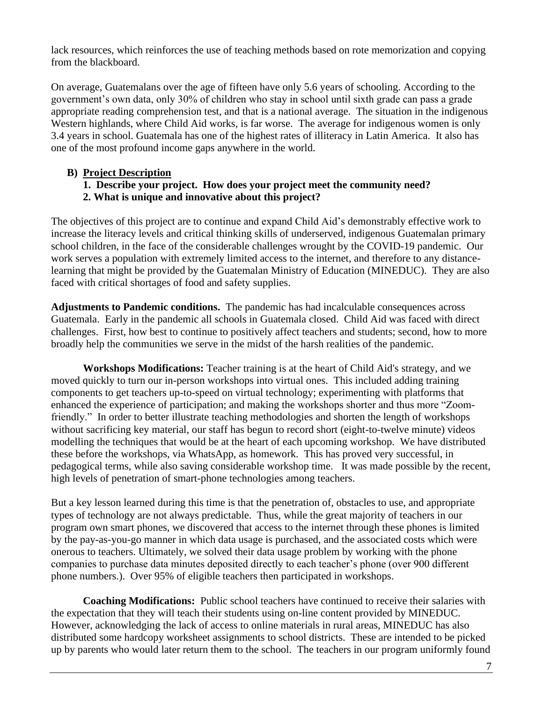lack resources, which reinforces the use of teaching methods based on rote memorization and copying from the blackboard.

On average, Guatemalans over the age of fifteen have only 5.6 years of schooling. According to the government's own data, only 30% of children who stay in school until sixth grade can pass a grade appropriate reading comprehension test, and that is a national average. The situation in the indigenous Western highlands, where Child Aid works, is far worse. The average for indigenous women is only 3.4 years in school. Guatemala has one of the highest rates of illiteracy in Latin America. It also has one of the most profound income gaps anywhere in the world.

# **B) Project Description**

## **1. Describe your project. How does your project meet the community need? 2. What is unique and innovative about this project?**

The objectives of this project are to continue and expand Child Aid's demonstrably effective work to increase the literacy levels and critical thinking skills of underserved, indigenous Guatemalan primary school children, in the face of the considerable challenges wrought by the COVID-19 pandemic. Our work serves a population with extremely limited access to the internet, and therefore to any distancelearning that might be provided by the Guatemalan Ministry of Education (MINEDUC). They are also faced with critical shortages of food and safety supplies.

**Adjustments to Pandemic conditions.** The pandemic has had incalculable consequences across Guatemala. Early in the pandemic all schools in Guatemala closed. Child Aid was faced with direct challenges. First, how best to continue to positively affect teachers and students; second, how to more broadly help the communities we serve in the midst of the harsh realities of the pandemic.

**Workshops Modifications:** Teacher training is at the heart of Child Aid's strategy, and we moved quickly to turn our in-person workshops into virtual ones. This included adding training components to get teachers up-to-speed on virtual technology; experimenting with platforms that enhanced the experience of participation; and making the workshops shorter and thus more "Zoomfriendly." In order to better illustrate teaching methodologies and shorten the length of workshops without sacrificing key material, our staff has begun to record short (eight-to-twelve minute) videos modelling the techniques that would be at the heart of each upcoming workshop. We have distributed these before the workshops, via WhatsApp, as homework. This has proved very successful, in pedagogical terms, while also saving considerable workshop time. It was made possible by the recent, high levels of penetration of smart-phone technologies among teachers.

But a key lesson learned during this time is that the penetration of, obstacles to use, and appropriate types of technology are not always predictable. Thus, while the great majority of teachers in our program own smart phones, we discovered that access to the internet through these phones is limited by the pay-as-you-go manner in which data usage is purchased, and the associated costs which were onerous to teachers. Ultimately, we solved their data usage problem by working with the phone companies to purchase data minutes deposited directly to each teacher's phone (over 900 different phone numbers.). Over 95% of eligible teachers then participated in workshops.

**Coaching Modifications:** Public school teachers have continued to receive their salaries with the expectation that they will teach their students using on-line content provided by MINEDUC. However, acknowledging the lack of access to online materials in rural areas, MINEDUC has also distributed some hardcopy worksheet assignments to school districts. These are intended to be picked up by parents who would later return them to the school. The teachers in our program uniformly found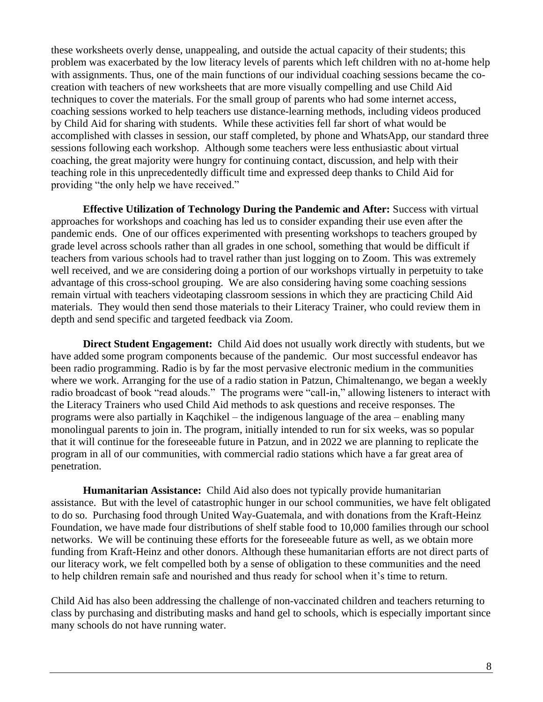these worksheets overly dense, unappealing, and outside the actual capacity of their students; this problem was exacerbated by the low literacy levels of parents which left children with no at-home help with assignments. Thus, one of the main functions of our individual coaching sessions became the cocreation with teachers of new worksheets that are more visually compelling and use Child Aid techniques to cover the materials. For the small group of parents who had some internet access, coaching sessions worked to help teachers use distance-learning methods, including videos produced by Child Aid for sharing with students. While these activities fell far short of what would be accomplished with classes in session, our staff completed, by phone and WhatsApp, our standard three sessions following each workshop. Although some teachers were less enthusiastic about virtual coaching, the great majority were hungry for continuing contact, discussion, and help with their teaching role in this unprecedentedly difficult time and expressed deep thanks to Child Aid for providing "the only help we have received."

**Effective Utilization of Technology During the Pandemic and After:** Success with virtual approaches for workshops and coaching has led us to consider expanding their use even after the pandemic ends. One of our offices experimented with presenting workshops to teachers grouped by grade level across schools rather than all grades in one school, something that would be difficult if teachers from various schools had to travel rather than just logging on to Zoom. This was extremely well received, and we are considering doing a portion of our workshops virtually in perpetuity to take advantage of this cross-school grouping. We are also considering having some coaching sessions remain virtual with teachers videotaping classroom sessions in which they are practicing Child Aid materials. They would then send those materials to their Literacy Trainer, who could review them in depth and send specific and targeted feedback via Zoom.

**Direct Student Engagement:** Child Aid does not usually work directly with students, but we have added some program components because of the pandemic. Our most successful endeavor has been radio programming. Radio is by far the most pervasive electronic medium in the communities where we work. Arranging for the use of a radio station in Patzun, Chimaltenango, we began a weekly radio broadcast of book "read alouds." The programs were "call-in," allowing listeners to interact with the Literacy Trainers who used Child Aid methods to ask questions and receive responses. The programs were also partially in Kaqchikel – the indigenous language of the area – enabling many monolingual parents to join in. The program, initially intended to run for six weeks, was so popular that it will continue for the foreseeable future in Patzun, and in 2022 we are planning to replicate the program in all of our communities, with commercial radio stations which have a far great area of penetration.

**Humanitarian Assistance:** Child Aid also does not typically provide humanitarian assistance. But with the level of catastrophic hunger in our school communities, we have felt obligated to do so. Purchasing food through United Way-Guatemala, and with donations from the Kraft-Heinz Foundation, we have made four distributions of shelf stable food to 10,000 families through our school networks. We will be continuing these efforts for the foreseeable future as well, as we obtain more funding from Kraft-Heinz and other donors. Although these humanitarian efforts are not direct parts of our literacy work, we felt compelled both by a sense of obligation to these communities and the need to help children remain safe and nourished and thus ready for school when it's time to return.

Child Aid has also been addressing the challenge of non-vaccinated children and teachers returning to class by purchasing and distributing masks and hand gel to schools, which is especially important since many schools do not have running water.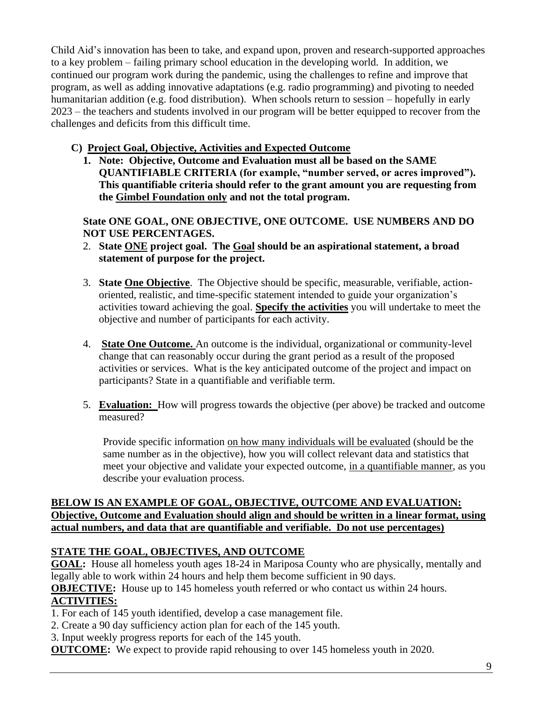Child Aid's innovation has been to take, and expand upon, proven and research-supported approaches to a key problem – failing primary school education in the developing world. In addition, we continued our program work during the pandemic, using the challenges to refine and improve that program, as well as adding innovative adaptations (e.g. radio programming) and pivoting to needed humanitarian addition (e.g. food distribution). When schools return to session – hopefully in early 2023 – the teachers and students involved in our program will be better equipped to recover from the challenges and deficits from this difficult time.

# **C) Project Goal, Objective, Activities and Expected Outcome**

**1. Note: Objective, Outcome and Evaluation must all be based on the SAME QUANTIFIABLE CRITERIA (for example, "number served, or acres improved"). This quantifiable criteria should refer to the grant amount you are requesting from the Gimbel Foundation only and not the total program.** 

**State ONE GOAL, ONE OBJECTIVE, ONE OUTCOME. USE NUMBERS AND DO NOT USE PERCENTAGES.** 

- 2. **State ONE project goal. The Goal should be an aspirational statement, a broad statement of purpose for the project.**
- 3. **State One Objective**. The Objective should be specific, measurable, verifiable, actionoriented, realistic, and time-specific statement intended to guide your organization's activities toward achieving the goal. **Specify the activities** you will undertake to meet the objective and number of participants for each activity.
- 4. **State One Outcome.** An outcome is the individual, organizational or community-level change that can reasonably occur during the grant period as a result of the proposed activities or services. What is the key anticipated outcome of the project and impact on participants? State in a quantifiable and verifiable term.
- 5. **Evaluation:** How will progress towards the objective (per above) be tracked and outcome measured?

Provide specific information on how many individuals will be evaluated (should be the same number as in the objective), how you will collect relevant data and statistics that meet your objective and validate your expected outcome, in a quantifiable manner, as you describe your evaluation process.

## **BELOW IS AN EXAMPLE OF GOAL, OBJECTIVE, OUTCOME AND EVALUATION: Objective, Outcome and Evaluation should align and should be written in a linear format, using actual numbers, and data that are quantifiable and verifiable. Do not use percentages)**

# **STATE THE GOAL, OBJECTIVES, AND OUTCOME**

**GOAL:** House all homeless youth ages 18-24 in Mariposa County who are physically, mentally and legally able to work within 24 hours and help them become sufficient in 90 days.

**OBJECTIVE:** House up to 145 homeless youth referred or who contact us within 24 hours. **ACTIVITIES:** 

- 1. For each of 145 youth identified, develop a case management file.
- 2. Create a 90 day sufficiency action plan for each of the 145 youth.
- 3. Input weekly progress reports for each of the 145 youth.

**OUTCOME:** We expect to provide rapid rehousing to over 145 homeless youth in 2020.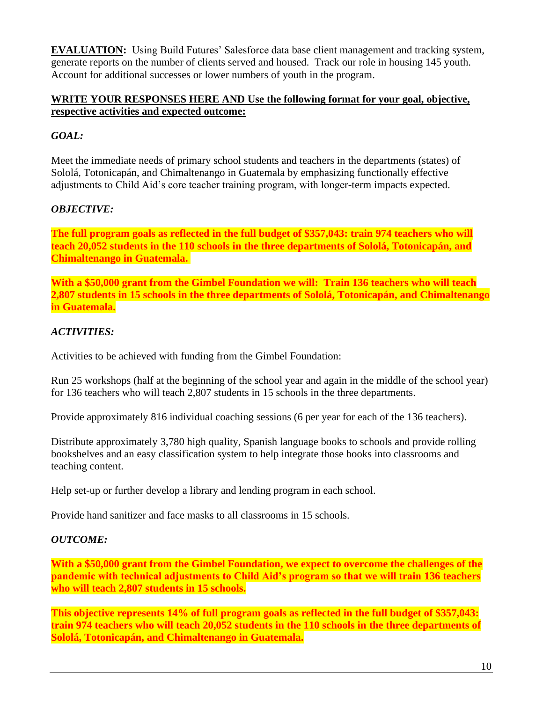**EVALUATION:** Using Build Futures' Salesforce data base client management and tracking system, generate reports on the number of clients served and housed. Track our role in housing 145 youth. Account for additional successes or lower numbers of youth in the program.

# **WRITE YOUR RESPONSES HERE AND Use the following format for your goal, objective, respective activities and expected outcome:**

# *GOAL:*

Meet the immediate needs of primary school students and teachers in the departments (states) of Sololá, Totonicapán, and Chimaltenango in Guatemala by emphasizing functionally effective adjustments to Child Aid's core teacher training program, with longer-term impacts expected.

# *OBJECTIVE:*

**The full program goals as reflected in the full budget of \$357,043: train 974 teachers who will teach 20,052 students in the 110 schools in the three departments of Sololá, Totonicapán, and Chimaltenango in Guatemala.**

**With a \$50,000 grant from the Gimbel Foundation we will: Train 136 teachers who will teach 2,807 students in 15 schools in the three departments of Sololá, Totonicapán, and Chimaltenango in Guatemala.**

# *ACTIVITIES:*

Activities to be achieved with funding from the Gimbel Foundation:

Run 25 workshops (half at the beginning of the school year and again in the middle of the school year) for 136 teachers who will teach 2,807 students in 15 schools in the three departments.

Provide approximately 816 individual coaching sessions (6 per year for each of the 136 teachers).

Distribute approximately 3,780 high quality, Spanish language books to schools and provide rolling bookshelves and an easy classification system to help integrate those books into classrooms and teaching content.

Help set-up or further develop a library and lending program in each school.

Provide hand sanitizer and face masks to all classrooms in 15 schools.

## *OUTCOME:*

**With a \$50,000 grant from the Gimbel Foundation, we expect to overcome the challenges of the pandemic with technical adjustments to Child Aid's program so that we will train 136 teachers who will teach 2,807 students in 15 schools.**

**This objective represents 14% of full program goals as reflected in the full budget of \$357,043: train 974 teachers who will teach 20,052 students in the 110 schools in the three departments of Sololá, Totonicapán, and Chimaltenango in Guatemala.**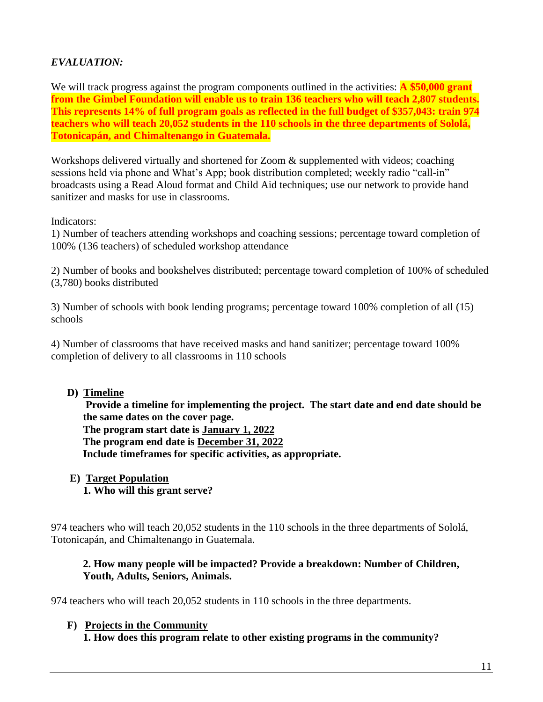# *EVALUATION:*

We will track progress against the program components outlined in the activities: **A \$50,000 grant from the Gimbel Foundation will enable us to train 136 teachers who will teach 2,807 students. This represents 14% of full program goals as reflected in the full budget of \$357,043: train 974 teachers who will teach 20,052 students in the 110 schools in the three departments of Sololá, Totonicapán, and Chimaltenango in Guatemala.**

Workshops delivered virtually and shortened for Zoom & supplemented with videos; coaching sessions held via phone and What's App; book distribution completed; weekly radio "call-in" broadcasts using a Read Aloud format and Child Aid techniques; use our network to provide hand sanitizer and masks for use in classrooms.

Indicators:

1) Number of teachers attending workshops and coaching sessions; percentage toward completion of 100% (136 teachers) of scheduled workshop attendance

2) Number of books and bookshelves distributed; percentage toward completion of 100% of scheduled (3,780) books distributed

3) Number of schools with book lending programs; percentage toward 100% completion of all (15) schools

4) Number of classrooms that have received masks and hand sanitizer; percentage toward 100% completion of delivery to all classrooms in 110 schools

## **D) Timeline**

**Provide a timeline for implementing the project. The start date and end date should be the same dates on the cover page. The program start date is January 1, 2022 The program end date is December 31, 2022 Include timeframes for specific activities, as appropriate.**

#### **E) Target Population 1. Who will this grant serve?**

974 teachers who will teach 20,052 students in the 110 schools in the three departments of Sololá,

# **2. How many people will be impacted? Provide a breakdown: Number of Children, Youth, Adults, Seniors, Animals.**

974 teachers who will teach 20,052 students in 110 schools in the three departments.

# **F) Projects in the Community**

Totonicapán, and Chimaltenango in Guatemala.

**1. How does this program relate to other existing programs in the community?**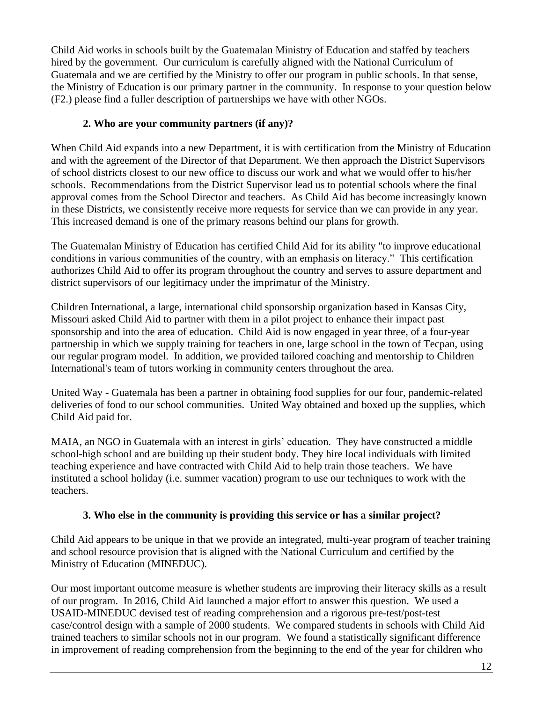Child Aid works in schools built by the Guatemalan Ministry of Education and staffed by teachers hired by the government. Our curriculum is carefully aligned with the National Curriculum of Guatemala and we are certified by the Ministry to offer our program in public schools. In that sense, the Ministry of Education is our primary partner in the community. In response to your question below (F2.) please find a fuller description of partnerships we have with other NGOs.

# **2. Who are your community partners (if any)?**

When Child Aid expands into a new Department, it is with certification from the Ministry of Education and with the agreement of the Director of that Department. We then approach the District Supervisors of school districts closest to our new office to discuss our work and what we would offer to his/her schools. Recommendations from the District Supervisor lead us to potential schools where the final approval comes from the School Director and teachers. As Child Aid has become increasingly known in these Districts, we consistently receive more requests for service than we can provide in any year. This increased demand is one of the primary reasons behind our plans for growth.

The Guatemalan Ministry of Education has certified Child Aid for its ability "to improve educational conditions in various communities of the country, with an emphasis on literacy." This certification authorizes Child Aid to offer its program throughout the country and serves to assure department and district supervisors of our legitimacy under the imprimatur of the Ministry.

Children International, a large, international child sponsorship organization based in Kansas City, Missouri asked Child Aid to partner with them in a pilot project to enhance their impact past sponsorship and into the area of education. Child Aid is now engaged in year three, of a four-year partnership in which we supply training for teachers in one, large school in the town of Tecpan, using our regular program model. In addition, we provided tailored coaching and mentorship to Children International's team of tutors working in community centers throughout the area.

United Way - Guatemala has been a partner in obtaining food supplies for our four, pandemic-related deliveries of food to our school communities. United Way obtained and boxed up the supplies, which Child Aid paid for.

MAIA, an NGO in Guatemala with an interest in girls' education. They have constructed a middle school-high school and are building up their student body. They hire local individuals with limited teaching experience and have contracted with Child Aid to help train those teachers. We have instituted a school holiday (i.e. summer vacation) program to use our techniques to work with the teachers.

# **3. Who else in the community is providing this service or has a similar project?**

Child Aid appears to be unique in that we provide an integrated, multi-year program of teacher training and school resource provision that is aligned with the National Curriculum and certified by the Ministry of Education (MINEDUC).

Our most important outcome measure is whether students are improving their literacy skills as a result of our program. In 2016, Child Aid launched a major effort to answer this question. We used a USAID-MINEDUC devised test of reading comprehension and a rigorous pre-test/post-test case/control design with a sample of 2000 students. We compared students in schools with Child Aid trained teachers to similar schools not in our program. We found a statistically significant difference in improvement of reading comprehension from the beginning to the end of the year for children who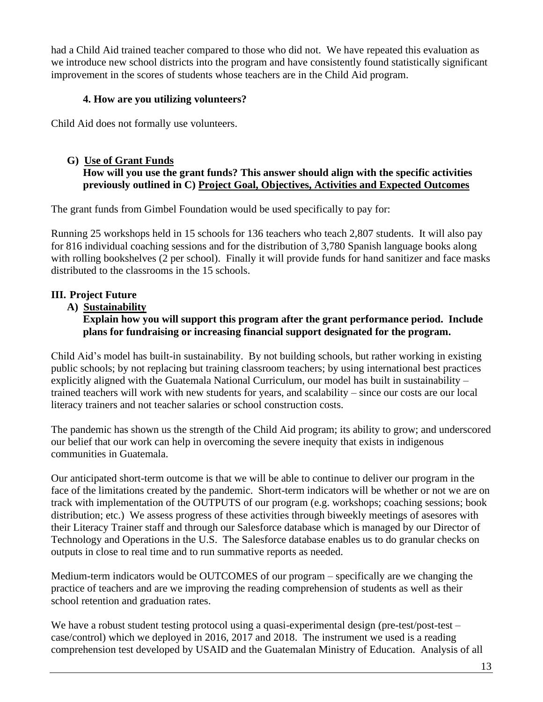had a Child Aid trained teacher compared to those who did not. We have repeated this evaluation as we introduce new school districts into the program and have consistently found statistically significant improvement in the scores of students whose teachers are in the Child Aid program.

# **4. How are you utilizing volunteers?**

Child Aid does not formally use volunteers.

# **G) Use of Grant Funds How will you use the grant funds? This answer should align with the specific activities previously outlined in C) Project Goal, Objectives, Activities and Expected Outcomes**

The grant funds from Gimbel Foundation would be used specifically to pay for:

Running 25 workshops held in 15 schools for 136 teachers who teach 2,807 students. It will also pay for 816 individual coaching sessions and for the distribution of 3,780 Spanish language books along with rolling bookshelves (2 per school). Finally it will provide funds for hand sanitizer and face masks distributed to the classrooms in the 15 schools.

# **III. Project Future**

 **A) Sustainability**

# **Explain how you will support this program after the grant performance period. Include plans for fundraising or increasing financial support designated for the program.**

Child Aid's model has built-in sustainability. By not building schools, but rather working in existing public schools; by not replacing but training classroom teachers; by using international best practices explicitly aligned with the Guatemala National Curriculum, our model has built in sustainability – trained teachers will work with new students for years, and scalability – since our costs are our local literacy trainers and not teacher salaries or school construction costs.

The pandemic has shown us the strength of the Child Aid program; its ability to grow; and underscored our belief that our work can help in overcoming the severe inequity that exists in indigenous communities in Guatemala.

Our anticipated short-term outcome is that we will be able to continue to deliver our program in the face of the limitations created by the pandemic. Short-term indicators will be whether or not we are on track with implementation of the OUTPUTS of our program (e.g. workshops; coaching sessions; book distribution; etc.) We assess progress of these activities through biweekly meetings of asesores with their Literacy Trainer staff and through our Salesforce database which is managed by our Director of Technology and Operations in the U.S. The Salesforce database enables us to do granular checks on outputs in close to real time and to run summative reports as needed.

Medium-term indicators would be OUTCOMES of our program – specifically are we changing the practice of teachers and are we improving the reading comprehension of students as well as their school retention and graduation rates.

We have a robust student testing protocol using a quasi-experimental design (pre-test/post-test – case/control) which we deployed in 2016, 2017 and 2018. The instrument we used is a reading comprehension test developed by USAID and the Guatemalan Ministry of Education. Analysis of all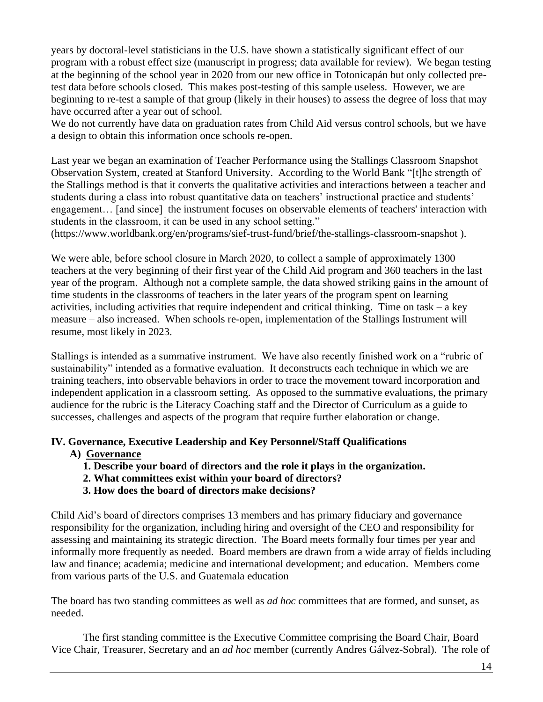years by doctoral-level statisticians in the U.S. have shown a statistically significant effect of our program with a robust effect size (manuscript in progress; data available for review). We began testing at the beginning of the school year in 2020 from our new office in Totonicapán but only collected pretest data before schools closed. This makes post-testing of this sample useless. However, we are beginning to re-test a sample of that group (likely in their houses) to assess the degree of loss that may have occurred after a year out of school.

We do not currently have data on graduation rates from Child Aid versus control schools, but we have a design to obtain this information once schools re-open.

Last year we began an examination of Teacher Performance using the Stallings Classroom Snapshot Observation System, created at Stanford University. According to the World Bank "[t]he strength of the Stallings method is that it converts the qualitative activities and interactions between a teacher and students during a class into robust quantitative data on teachers' instructional practice and students' engagement… [and since] the instrument focuses on observable elements of teachers' interaction with students in the classroom, it can be used in any school setting."

(https://www.worldbank.org/en/programs/sief-trust-fund/brief/the-stallings-classroom-snapshot ).

We were able, before school closure in March 2020, to collect a sample of approximately 1300 teachers at the very beginning of their first year of the Child Aid program and 360 teachers in the last year of the program. Although not a complete sample, the data showed striking gains in the amount of time students in the classrooms of teachers in the later years of the program spent on learning activities, including activities that require independent and critical thinking. Time on task – a key measure – also increased. When schools re-open, implementation of the Stallings Instrument will resume, most likely in 2023.

Stallings is intended as a summative instrument. We have also recently finished work on a "rubric of sustainability" intended as a formative evaluation. It deconstructs each technique in which we are training teachers, into observable behaviors in order to trace the movement toward incorporation and independent application in a classroom setting. As opposed to the summative evaluations, the primary audience for the rubric is the Literacy Coaching staff and the Director of Curriculum as a guide to successes, challenges and aspects of the program that require further elaboration or change.

# **IV. Governance, Executive Leadership and Key Personnel/Staff Qualifications**

- **A) Governance**
	- **1. Describe your board of directors and the role it plays in the organization.**
	- **2. What committees exist within your board of directors?**
	- **3. How does the board of directors make decisions?**

Child Aid's board of directors comprises 13 members and has primary fiduciary and governance responsibility for the organization, including hiring and oversight of the CEO and responsibility for assessing and maintaining its strategic direction. The Board meets formally four times per year and informally more frequently as needed. Board members are drawn from a wide array of fields including law and finance; academia; medicine and international development; and education. Members come from various parts of the U.S. and Guatemala education

The board has two standing committees as well as *ad hoc* committees that are formed, and sunset, as needed.

The first standing committee is the Executive Committee comprising the Board Chair, Board Vice Chair, Treasurer, Secretary and an *ad hoc* member (currently Andres Gálvez-Sobral). The role of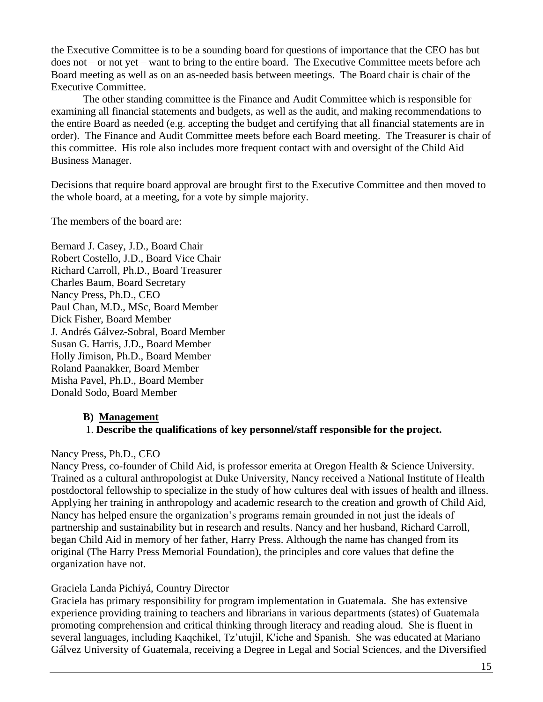the Executive Committee is to be a sounding board for questions of importance that the CEO has but does not – or not yet – want to bring to the entire board. The Executive Committee meets before ach Board meeting as well as on an as-needed basis between meetings. The Board chair is chair of the Executive Committee.

The other standing committee is the Finance and Audit Committee which is responsible for examining all financial statements and budgets, as well as the audit, and making recommendations to the entire Board as needed (e.g. accepting the budget and certifying that all financial statements are in order). The Finance and Audit Committee meets before each Board meeting. The Treasurer is chair of this committee. His role also includes more frequent contact with and oversight of the Child Aid Business Manager.

Decisions that require board approval are brought first to the Executive Committee and then moved to the whole board, at a meeting, for a vote by simple majority.

The members of the board are:

Bernard J. Casey, J.D., Board Chair Robert Costello, J.D., Board Vice Chair Richard Carroll, Ph.D., Board Treasurer Charles Baum, Board Secretary Nancy Press, Ph.D., CEO Paul Chan, M.D., MSc, Board Member Dick Fisher, Board Member J. Andrés Gálvez-Sobral, Board Member Susan G. Harris, J.D., Board Member Holly Jimison, Ph.D., Board Member Roland Paanakker, Board Member Misha Pavel, Ph.D., Board Member Donald Sodo, Board Member

## **B) Management**

# 1. **Describe the qualifications of key personnel/staff responsible for the project.**

## Nancy Press, Ph.D., CEO

Nancy Press, co-founder of Child Aid, is professor emerita at Oregon Health & Science University. Trained as a cultural anthropologist at Duke University, Nancy received a National Institute of Health postdoctoral fellowship to specialize in the study of how cultures deal with issues of health and illness. Applying her training in anthropology and academic research to the creation and growth of Child Aid, Nancy has helped ensure the organization's programs remain grounded in not just the ideals of partnership and sustainability but in research and results. Nancy and her husband, Richard Carroll, began Child Aid in memory of her father, Harry Press. Although the name has changed from its original (The Harry Press Memorial Foundation), the principles and core values that define the organization have not.

## Graciela Landa Pichiyá, Country Director

Graciela has primary responsibility for program implementation in Guatemala. She has extensive experience providing training to teachers and librarians in various departments (states) of Guatemala promoting comprehension and critical thinking through literacy and reading aloud. She is fluent in several languages, including Kaqchikel, Tz'utujil, K'iche and Spanish. She was educated at Mariano Gálvez University of Guatemala, receiving a Degree in Legal and Social Sciences, and the Diversified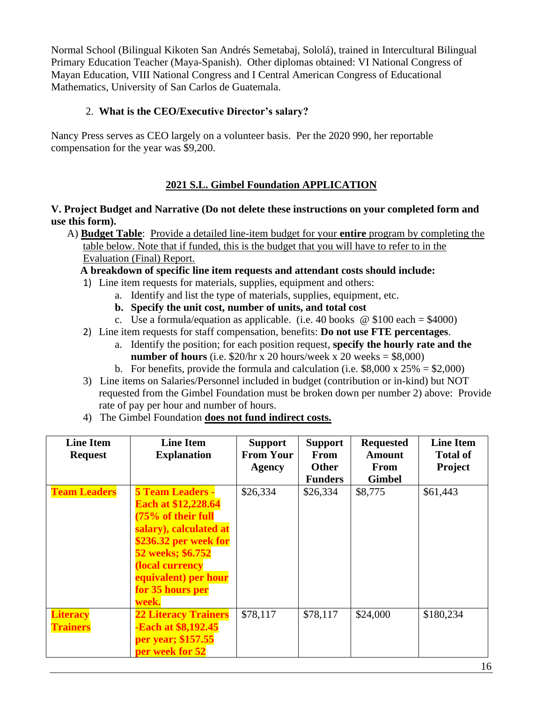Normal School (Bilingual Kikoten San Andrés Semetabaj, Sololá), trained in Intercultural Bilingual Primary Education Teacher (Maya-Spanish). Other diplomas obtained: VI National Congress of Mayan Education, VIII National Congress and I Central American Congress of Educational Mathematics, University of San Carlos de Guatemala.

# 2. **What is the CEO/Executive Director's salary?**

Nancy Press serves as CEO largely on a volunteer basis. Per the 2020 990, her reportable compensation for the year was \$9,200.

# **2021 S.L. Gimbel Foundation APPLICATION**

# **V. Project Budget and Narrative (Do not delete these instructions on your completed form and use this form).**

 A) **Budget Table**: Provide a detailed line-item budget for your **entire** program by completing the table below. Note that if funded, this is the budget that you will have to refer to in the Evaluation (Final) Report.

 **A breakdown of specific line item requests and attendant costs should include:**

- 1) Line item requests for materials, supplies, equipment and others:
	- a. Identify and list the type of materials, supplies, equipment, etc.
	- **b. Specify the unit cost, number of units, and total cost**
	- c. Use a formula/equation as applicable. (i.e. 40 books  $\omega$  \$100 each = \$4000)
- 2) Line item requests for staff compensation, benefits: **Do not use FTE percentages**.
	- a. Identify the position; for each position request, **specify the hourly rate and the number of hours** (i.e.  $$20/hr \times 20$  hours/week x 20 weeks =  $$8,000$ )
	- b. For benefits, provide the formula and calculation (i.e.  $$8,000 \times 25\% = $2,000$ )
- 3) Line items on Salaries/Personnel included in budget (contribution or in-kind) but NOT requested from the Gimbel Foundation must be broken down per number 2) above: Provide rate of pay per hour and number of hours.
- 4) The Gimbel Foundation **does not fund indirect costs.**

| <b>Line Item</b>    | <b>Line Item</b>            | <b>Support</b>   | <b>Support</b> | <b>Requested</b> | <b>Line Item</b> |
|---------------------|-----------------------------|------------------|----------------|------------------|------------------|
| <b>Request</b>      | <b>Explanation</b>          | <b>From Your</b> | <b>From</b>    | <b>Amount</b>    | <b>Total of</b>  |
|                     |                             | <b>Agency</b>    | <b>Other</b>   | From             | Project          |
|                     |                             |                  | <b>Funders</b> | <b>Gimbel</b>    |                  |
| <b>Team Leaders</b> | <b>5 Team Leaders -</b>     | \$26,334         | \$26,334       | \$8,775          | \$61,443         |
|                     | <b>Each at \$12,228.64</b>  |                  |                |                  |                  |
|                     | (75% of their full          |                  |                |                  |                  |
|                     | salary), calculated at      |                  |                |                  |                  |
|                     | \$236.32 per week for       |                  |                |                  |                  |
|                     | 52 weeks; \$6.752           |                  |                |                  |                  |
|                     | (local currency             |                  |                |                  |                  |
|                     | equivalent) per hour        |                  |                |                  |                  |
|                     | for 35 hours per            |                  |                |                  |                  |
|                     | week.                       |                  |                |                  |                  |
| <b>Literacy</b>     | <b>22 Literacy Trainers</b> | \$78,117         | \$78,117       | \$24,000         | \$180,234        |
| <b>Trainers</b>     | Each at \$8,192.45          |                  |                |                  |                  |
|                     |                             |                  |                |                  |                  |
|                     | per year; \$157.55          |                  |                |                  |                  |
|                     | per week for 52             |                  |                |                  |                  |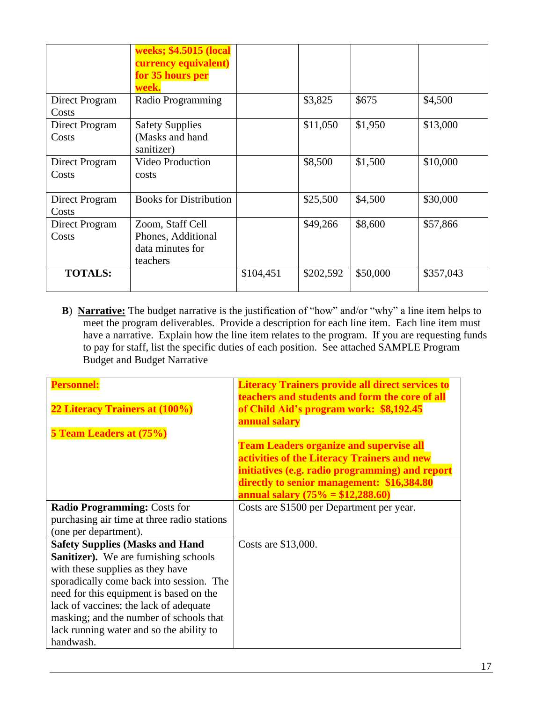|                         | weeks; \$4.5015 (local<br>currency equivalent)<br>for 35 hours per<br>week. |           |           |          |           |
|-------------------------|-----------------------------------------------------------------------------|-----------|-----------|----------|-----------|
| Direct Program<br>Costs | Radio Programming                                                           |           | \$3,825   | \$675    | \$4,500   |
| Direct Program<br>Costs | <b>Safety Supplies</b><br>(Masks and hand<br>sanitizer)                     |           | \$11,050  | \$1,950  | \$13,000  |
| Direct Program<br>Costs | <b>Video Production</b><br>costs                                            |           | \$8,500   | \$1,500  | \$10,000  |
| Direct Program<br>Costs | <b>Books for Distribution</b>                                               |           | \$25,500  | \$4,500  | \$30,000  |
| Direct Program<br>Costs | Zoom, Staff Cell<br>Phones, Additional<br>data minutes for<br>teachers      |           | \$49,266  | \$8,600  | \$57,866  |
| <b>TOTALS:</b>          |                                                                             | \$104,451 | \$202,592 | \$50,000 | \$357,043 |

 **B**) **Narrative:** The budget narrative is the justification of "how" and/or "why" a line item helps to meet the program deliverables. Provide a description for each line item. Each line item must have a narrative. Explain how the line item relates to the program. If you are requesting funds to pay for staff, list the specific duties of each position. See attached SAMPLE Program Budget and Budget Narrative

| <b>Personnel:</b>                            | <b>Literacy Trainers provide all direct services to</b><br>teachers and students and form the core of all |
|----------------------------------------------|-----------------------------------------------------------------------------------------------------------|
| 22 Literacy Trainers at (100%)               | of Child Aid's program work: \$8,192.45                                                                   |
| 5 Team Leaders at (75%)                      | annual salary                                                                                             |
|                                              | <b>Team Leaders organize and supervise all</b>                                                            |
|                                              | activities of the Literacy Trainers and new                                                               |
|                                              | initiatives (e.g. radio programming) and report                                                           |
|                                              | directly to senior management: \$16,384.80                                                                |
|                                              | annual salary $(75\% = $12,288.60)$                                                                       |
| <b>Radio Programming: Costs for</b>          | Costs are \$1500 per Department per year.                                                                 |
| purchasing air time at three radio stations  |                                                                                                           |
| (one per department).                        |                                                                                                           |
| <b>Safety Supplies (Masks and Hand</b>       | Costs are \$13,000.                                                                                       |
| <b>Sanitizer).</b> We are furnishing schools |                                                                                                           |
| with these supplies as they have             |                                                                                                           |
| sporadically come back into session. The     |                                                                                                           |
| need for this equipment is based on the      |                                                                                                           |
| lack of vaccines; the lack of adequate       |                                                                                                           |
| masking; and the number of schools that      |                                                                                                           |
| lack running water and so the ability to     |                                                                                                           |
| handwash.                                    |                                                                                                           |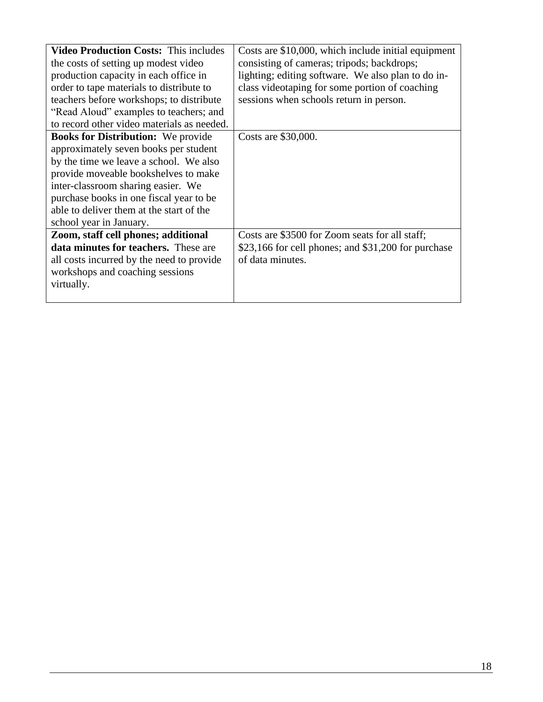| <b>Video Production Costs: This includes</b> | Costs are \$10,000, which include initial equipment |
|----------------------------------------------|-----------------------------------------------------|
| the costs of setting up modest video         | consisting of cameras; tripods; backdrops;          |
| production capacity in each office in        | lighting; editing software. We also plan to do in-  |
| order to tape materials to distribute to     | class videotaping for some portion of coaching      |
| teachers before workshops; to distribute     | sessions when schools return in person.             |
| "Read Aloud" examples to teachers; and       |                                                     |
| to record other video materials as needed.   |                                                     |
| <b>Books for Distribution:</b> We provide    | Costs are \$30,000.                                 |
| approximately seven books per student        |                                                     |
| by the time we leave a school. We also       |                                                     |
| provide moveable bookshelves to make         |                                                     |
| inter-classroom sharing easier. We           |                                                     |
| purchase books in one fiscal year to be      |                                                     |
| able to deliver them at the start of the     |                                                     |
| school year in January.                      |                                                     |
| Zoom, staff cell phones; additional          | Costs are \$3500 for Zoom seats for all staff;      |
| data minutes for teachers. These are         | \$23,166 for cell phones; and \$31,200 for purchase |
| all costs incurred by the need to provide    | of data minutes.                                    |
| workshops and coaching sessions              |                                                     |
| virtually.                                   |                                                     |
|                                              |                                                     |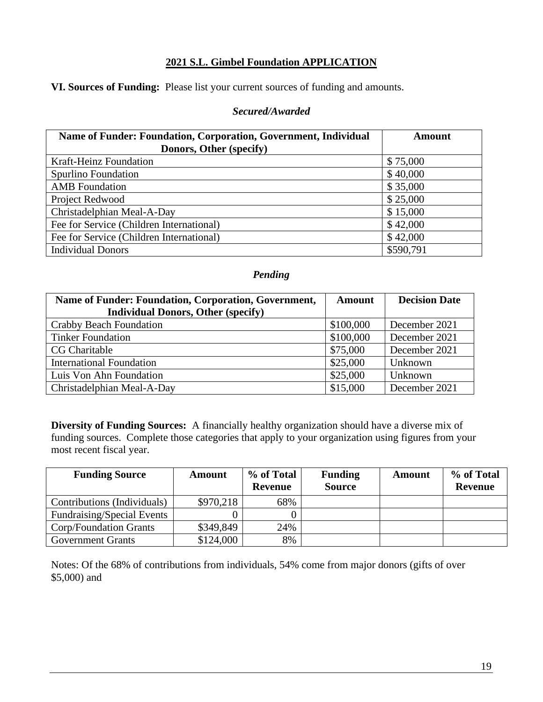# **2021 S.L. Gimbel Foundation APPLICATION**

**VI. Sources of Funding:** Please list your current sources of funding and amounts.

#### *Secured/Awarded*

| Name of Funder: Foundation, Corporation, Government, Individual | <b>Amount</b> |
|-----------------------------------------------------------------|---------------|
| Donors, Other (specify)                                         |               |
| <b>Kraft-Heinz Foundation</b>                                   | \$75,000      |
| Spurlino Foundation                                             | \$40,000      |
| <b>AMB</b> Foundation                                           | \$35,000      |
| Project Redwood                                                 | \$25,000      |
| Christadelphian Meal-A-Day                                      | \$15,000      |
| Fee for Service (Children International)                        | \$42,000      |
| Fee for Service (Children International)                        | \$42,000      |
| <b>Individual Donors</b>                                        | \$590,791     |

# *Pending*

| Name of Funder: Foundation, Corporation, Government, | <b>Amount</b> | <b>Decision Date</b> |
|------------------------------------------------------|---------------|----------------------|
| <b>Individual Donors, Other (specify)</b>            |               |                      |
| Crabby Beach Foundation                              | \$100,000     | December 2021        |
| <b>Tinker Foundation</b>                             | \$100,000     | December 2021        |
| <b>CG Charitable</b>                                 | \$75,000      | December 2021        |
| <b>International Foundation</b>                      | \$25,000      | Unknown              |
| Luis Von Ahn Foundation                              | \$25,000      | Unknown              |
| Christadelphian Meal-A-Day                           | \$15,000      | December 2021        |

**Diversity of Funding Sources:** A financially healthy organization should have a diverse mix of funding sources. Complete those categories that apply to your organization using figures from your most recent fiscal year.

| <b>Funding Source</b>             | <b>Amount</b> | % of Total<br><b>Revenue</b> | <b>Funding</b><br><b>Source</b> | <b>Amount</b> | % of Total<br><b>Revenue</b> |
|-----------------------------------|---------------|------------------------------|---------------------------------|---------------|------------------------------|
| Contributions (Individuals)       | \$970,218     | 68%                          |                                 |               |                              |
| <b>Fundraising/Special Events</b> |               |                              |                                 |               |                              |
| Corp/Foundation Grants            | \$349,849     | 24%                          |                                 |               |                              |
| <b>Government Grants</b>          | \$124,000     | 8%                           |                                 |               |                              |

Notes: Of the 68% of contributions from individuals, 54% come from major donors (gifts of over \$5,000) and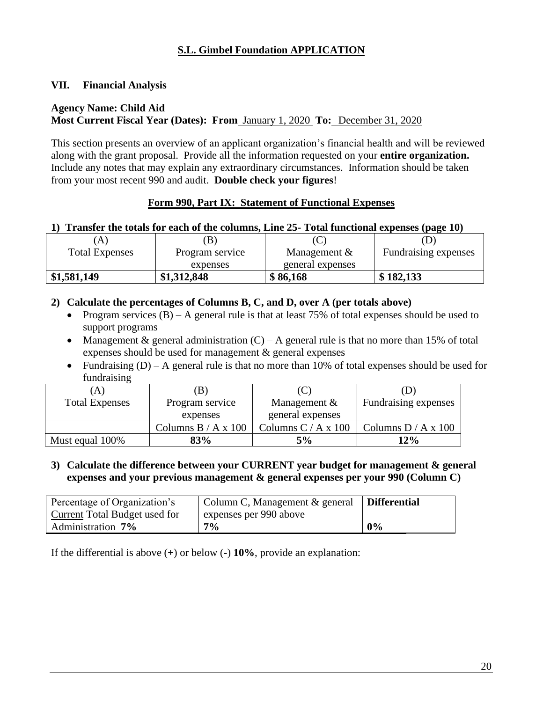# **S.L. Gimbel Foundation APPLICATION**

## **VII. Financial Analysis**

#### **Agency Name: Child Aid Most Current Fiscal Year (Dates): From** January 1, 2020 **To:** December 31, 2020

This section presents an overview of an applicant organization's financial health and will be reviewed along with the grant proposal. Provide all the information requested on your **entire organization.**  Include any notes that may explain any extraordinary circumstances. Information should be taken from your most recent 990 and audit. **Double check your figures**!

#### **Form 990, Part IX: Statement of Functional Expenses**

#### **1) Transfer the totals for each of the columns, Line 25- Total functional expenses (page 10)**

| A                     | B               |                  | ν                    |
|-----------------------|-----------------|------------------|----------------------|
| <b>Total Expenses</b> | Program service | Management $&$   | Fundraising expenses |
|                       | expenses        | general expenses |                      |
| \$1,581,149           | \$1,312,848     | \$86,168         | \$182,133            |

#### **2) Calculate the percentages of Columns B, C, and D, over A (per totals above)**

- Program services  $(B)$  A general rule is that at least 75% of total expenses should be used to support programs
- Management & general administration  $(C) A$  general rule is that no more than 15% of total expenses should be used for management & general expenses
- Fundraising  $(D) A$  general rule is that no more than 10% of total expenses should be used for fundraising

| <i>'</i> Α)           | .B)                   | (C                    |                       |
|-----------------------|-----------------------|-----------------------|-----------------------|
| <b>Total Expenses</b> | Program service       | Management $&$        | Fundraising expenses  |
|                       | expenses              | general expenses      |                       |
|                       | Columns $B / A x 100$ | Columns $C / A x 100$ | Columns $D / A x 100$ |
| Must equal 100%       | 83%                   | 5%                    | 12%                   |

#### **3) Calculate the difference between your CURRENT year budget for management & general expenses and your previous management & general expenses per your 990 (Column C)**

| Percentage of Organization's  | Column C, Management & general | Differential |
|-------------------------------|--------------------------------|--------------|
| Current Total Budget used for | l expenses per 990 above       |              |
| Administration 7%             | $7\%$                          | 0%           |

If the differential is above (**+**) or below (**-**) **10%**, provide an explanation: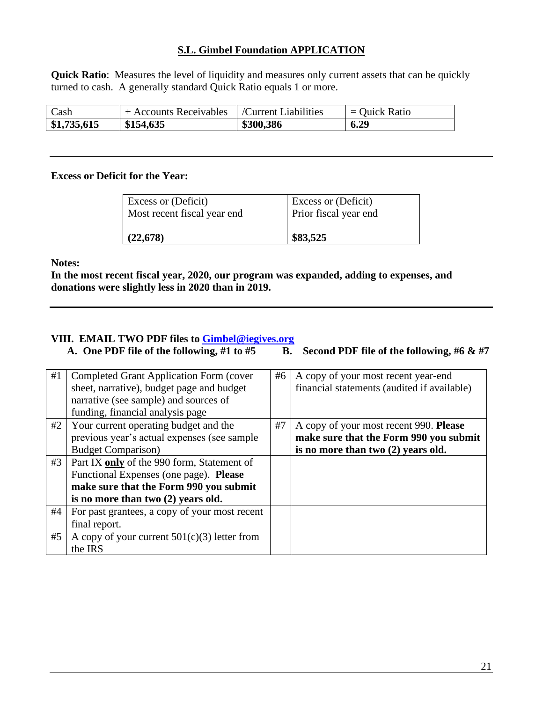#### **S.L. Gimbel Foundation APPLICATION**

**Quick Ratio**: Measures the level of liquidity and measures only current assets that can be quickly turned to cash. A generally standard Quick Ratio equals 1 or more.

| Cash        | + Accounts Receivables | /Current Liabilities | $=$ Quick Ratio |
|-------------|------------------------|----------------------|-----------------|
| \$1,735,615 | \$154,635              | \$300,386            | 6.29            |

#### **Excess or Deficit for the Year:**

| <b>Excess or (Deficit)</b>  | <b>Excess or (Deficit)</b> |
|-----------------------------|----------------------------|
| Most recent fiscal year end | Prior fiscal year end      |
| (22,678)                    | \$83,525                   |

**Notes:**

**In the most recent fiscal year, 2020, our program was expanded, adding to expenses, and donations were slightly less in 2020 than in 2019.**

# **VIII.** EMAIL TWO PDF files to **Gimbel@iegives.org**<br>A. One PDF file of the following, #1 to #5 B.

**B.** Second PDF file of the following,  $#6 \& #7$ 

| #1 | <b>Completed Grant Application Form (cover</b> | #6 | A copy of your most recent year-end         |
|----|------------------------------------------------|----|---------------------------------------------|
|    | sheet, narrative), budget page and budget      |    | financial statements (audited if available) |
|    | narrative (see sample) and sources of          |    |                                             |
|    | funding, financial analysis page               |    |                                             |
| #2 | Your current operating budget and the          | #7 | A copy of your most recent 990. Please      |
|    | previous year's actual expenses (see sample    |    | make sure that the Form 990 you submit      |
|    | <b>Budget Comparison</b> )                     |    | is no more than two (2) years old.          |
| #3 | Part IX only of the 990 form, Statement of     |    |                                             |
|    | Functional Expenses (one page). Please         |    |                                             |
|    | make sure that the Form 990 you submit         |    |                                             |
|    | is no more than two (2) years old.             |    |                                             |
| #4 | For past grantees, a copy of your most recent  |    |                                             |
|    | final report.                                  |    |                                             |
| #5 | A copy of your current $501(c)(3)$ letter from |    |                                             |
|    | the IRS                                        |    |                                             |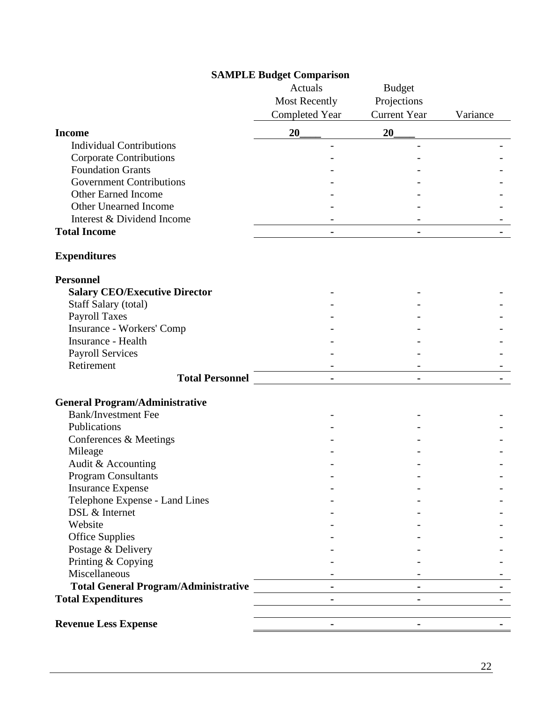# **SAMPLE Budget Comparison**

|                                             | Actuals               | <b>Budget</b>       |          |
|---------------------------------------------|-----------------------|---------------------|----------|
|                                             | <b>Most Recently</b>  | Projections         |          |
|                                             | <b>Completed Year</b> | <b>Current Year</b> | Variance |
| <b>Income</b>                               | 20                    | 20                  |          |
| <b>Individual Contributions</b>             |                       |                     |          |
| <b>Corporate Contributions</b>              |                       |                     |          |
| <b>Foundation Grants</b>                    |                       |                     |          |
| <b>Government Contributions</b>             |                       |                     |          |
| Other Earned Income                         |                       |                     |          |
| <b>Other Unearned Income</b>                |                       |                     |          |
| Interest & Dividend Income                  |                       |                     |          |
| <b>Total Income</b>                         |                       |                     |          |
|                                             | $\blacksquare$        |                     |          |
| <b>Expenditures</b>                         |                       |                     |          |
| <b>Personnel</b>                            |                       |                     |          |
| <b>Salary CEO/Executive Director</b>        |                       |                     |          |
| Staff Salary (total)                        |                       |                     |          |
| <b>Payroll Taxes</b>                        |                       |                     |          |
| Insurance - Workers' Comp                   |                       |                     |          |
| Insurance - Health                          |                       |                     |          |
| <b>Payroll Services</b>                     |                       |                     |          |
| Retirement                                  |                       |                     |          |
| <b>Total Personnel</b>                      |                       |                     |          |
|                                             |                       |                     |          |
| <b>General Program/Administrative</b>       |                       |                     |          |
| <b>Bank/Investment Fee</b>                  |                       |                     |          |
| Publications                                |                       |                     |          |
| Conferences & Meetings                      |                       |                     |          |
| Mileage                                     |                       |                     |          |
| Audit & Accounting                          |                       |                     |          |
| <b>Program Consultants</b>                  |                       |                     |          |
| <b>Insurance Expense</b>                    |                       |                     |          |
| Telephone Expense - Land Lines              |                       |                     |          |
| DSL & Internet                              |                       |                     |          |
| Website                                     |                       |                     |          |
| <b>Office Supplies</b>                      |                       |                     |          |
| Postage & Delivery                          |                       |                     |          |
| Printing & Copying                          |                       |                     |          |
| Miscellaneous                               |                       |                     |          |
| <b>Total General Program/Administrative</b> |                       |                     |          |
| <b>Total Expenditures</b>                   | $\blacksquare$        | $\blacksquare$      |          |
|                                             |                       |                     |          |
| <b>Revenue Less Expense</b>                 | $\blacksquare$        |                     |          |